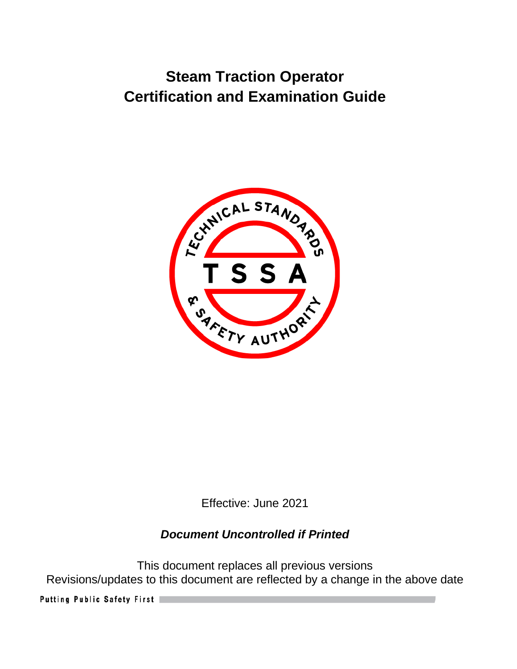

Effective: June 2021

# *Document Uncontrolled if Printed*

This document replaces all previous versions Revisions/updates to this document are reflected by a change in the above date

Putting Public Safety First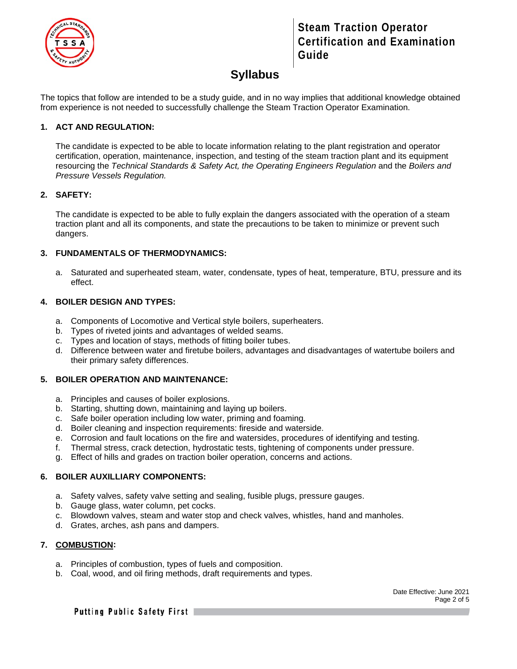

### **Syllabus**

The topics that follow are intended to be a study guide, and in no way implies that additional knowledge obtained from experience is not needed to successfully challenge the Steam Traction Operator Examination.

#### **1. ACT AND REGULATION:**

The candidate is expected to be able to locate information relating to the plant registration and operator certification, operation, maintenance, inspection, and testing of the steam traction plant and its equipment resourcing the *Technical Standards & Safety Act, the Operating Engineers Regulation* and the *Boilers and Pressure Vessels Regulation.*

#### **2. SAFETY:**

The candidate is expected to be able to fully explain the dangers associated with the operation of a steam traction plant and all its components, and state the precautions to be taken to minimize or prevent such dangers.

#### **3. FUNDAMENTALS OF THERMODYNAMICS:**

a. Saturated and superheated steam, water, condensate, types of heat, temperature, BTU, pressure and its effect.

#### **4. BOILER DESIGN AND TYPES:**

- a. Components of Locomotive and Vertical style boilers, superheaters.
- b. Types of riveted joints and advantages of welded seams.
- c. Types and location of stays, methods of fitting boiler tubes.
- d. Difference between water and firetube boilers, advantages and disadvantages of watertube boilers and their primary safety differences.

#### **5. BOILER OPERATION AND MAINTENANCE:**

- a. Principles and causes of boiler explosions.
- b. Starting, shutting down, maintaining and laying up boilers.
- c. Safe boiler operation including low water, priming and foaming.
- d. Boiler cleaning and inspection requirements: fireside and waterside.
- e. Corrosion and fault locations on the fire and watersides, procedures of identifying and testing.
- f. Thermal stress, crack detection, hydrostatic tests, tightening of components under pressure.
- g. Effect of hills and grades on traction boiler operation, concerns and actions.

#### **6. BOILER AUXILLIARY COMPONENTS:**

- a. Safety valves, safety valve setting and sealing, fusible plugs, pressure gauges.
- b. Gauge glass, water column, pet cocks.
- c. Blowdown valves, steam and water stop and check valves, whistles, hand and manholes.
- d. Grates, arches, ash pans and dampers.

#### **7. COMBUSTION:**

- a. Principles of combustion, types of fuels and composition.
- b. Coal, wood, and oil firing methods, draft requirements and types.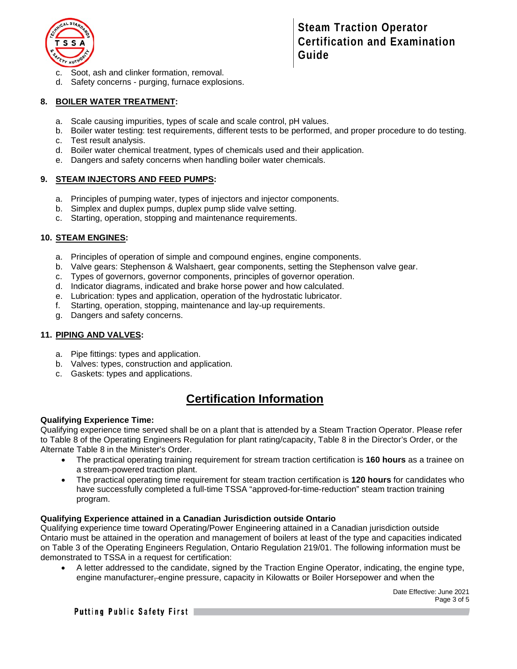

- c. Soot, ash and clinker formation, removal.
- d. Safety concerns purging, furnace explosions.

#### **8. BOILER WATER TREATMENT:**

- a. Scale causing impurities, types of scale and scale control, pH values.
- b. Boiler water testing: test requirements, different tests to be performed, and proper procedure to do testing.
- c. Test result analysis.
- d. Boiler water chemical treatment, types of chemicals used and their application.
- e. Dangers and safety concerns when handling boiler water chemicals.

#### **9. STEAM INJECTORS AND FEED PUMPS:**

- a. Principles of pumping water, types of injectors and injector components.
- b. Simplex and duplex pumps, duplex pump slide valve setting.
- c. Starting, operation, stopping and maintenance requirements.

#### **10. STEAM ENGINES:**

- a. Principles of operation of simple and compound engines, engine components.
- b. Valve gears: Stephenson & Walshaert, gear components, setting the Stephenson valve gear.
- c. Types of governors, governor components, principles of governor operation.
- d. Indicator diagrams, indicated and brake horse power and how calculated.
- e. Lubrication: types and application, operation of the hydrostatic lubricator.
- f. Starting, operation, stopping, maintenance and lay-up requirements.
- g. Dangers and safety concerns.

#### **11. PIPING AND VALVES:**

- a. Pipe fittings: types and application.
- b. Valves: types, construction and application.
- c. Gaskets: types and applications.

# **Certification Information**

#### **Qualifying Experience Time:**

Qualifying experience time served shall be on a plant that is attended by a Steam Traction Operator. Please refer to Table 8 of the Operating Engineers Regulation for plant rating/capacity, Table 8 in the Director's Order, or the Alternate Table 8 in the Minister's Order.

- The practical operating training requirement for stream traction certification is 160 hours as a trainee on a stream-powered traction plant.
- The practical operating time requirement for steam traction certification is **120 hours** for candidates who have successfully completed a full-time TSSA "approved-for-time-reduction" steam traction training program.

#### **Qualifying Experience attained in a Canadian Jurisdiction outside Ontario**

Qualifying experience time toward Operating/Power Engineering attained in a Canadian jurisdiction outside Ontario must be attained in the operation and management of boilers at least of the type and capacities indicated on Table 3 of the Operating Engineers Regulation, Ontario Regulation 219/01. The following information must be demonstrated to TSSA in a request for certification:

• A letter addressed to the candidate, signed by the Traction Engine Operator, indicating, the engine type, engine manufacturer, engine pressure, capacity in Kilowatts or Boiler Horsepower and when the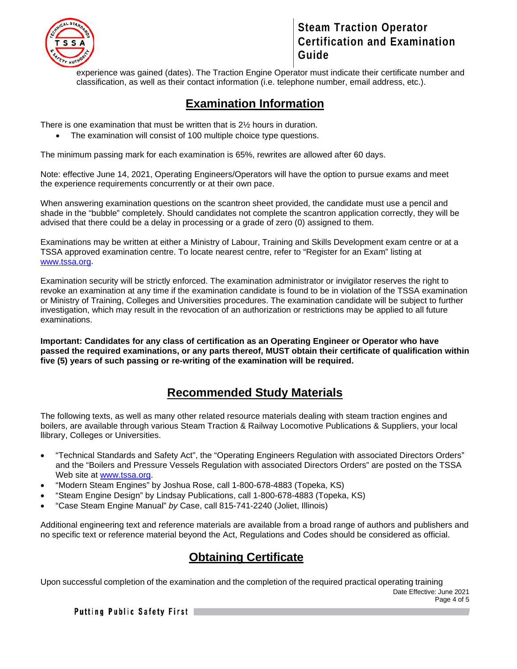

experience was gained (dates). The Traction Engine Operator must indicate their certificate number and classification, as well as their contact information (i.e. telephone number, email address, etc.).

### **Examination Information**

There is one examination that must be written that is 2½ hours in duration.

• The examination will consist of 100 multiple choice type questions.

The minimum passing mark for each examination is 65%, rewrites are allowed after 60 days.

Note: effective June 14, 2021, Operating Engineers/Operators will have the option to pursue exams and meet the experience requirements concurrently or at their own pace.

When answering examination questions on the scantron sheet provided, the candidate must use a pencil and shade in the "bubble" completely. Should candidates not complete the scantron application correctly, they will be advised that there could be a delay in processing or a grade of zero (0) assigned to them.

Examinations may be written at either a Ministry of Labour, Training and Skills Development exam centre or at a TSSA approved examination centre. To locate nearest centre, refer to "Register for an Exam" listing at [www.tssa.org.](http://www.tssa.org/)

Examination security will be strictly enforced. The examination administrator or invigilator reserves the right to revoke an examination at any time if the examination candidate is found to be in violation of the TSSA examination or Ministry of Training, Colleges and Universities procedures. The examination candidate will be subject to further investigation, which may result in the revocation of an authorization or restrictions may be applied to all future examinations.

**Important: Candidates for any class of certification as an Operating Engineer or Operator who have passed the required examinations, or any parts thereof, MUST obtain their certificate of qualification within five (5) years of such passing or re-writing of the examination will be required.** 

### **Recommended Study Materials**

The following texts, as well as many other related resource materials dealing with steam traction engines and boilers, are available through various Steam Traction & Railway Locomotive Publications & Suppliers, your local llibrary, Colleges or Universities.

- "Technical Standards and Safety Act", the "Operating Engineers Regulation with associated Directors Orders" and the "Boilers and Pressure Vessels Regulation with associated Directors Orders" are posted on the TSSA Web site at [www.tssa.org.](http://www.tssa.org/)
- "Modern Steam Engines" by Joshua Rose, call 1-800-678-4883 (Topeka, KS)
- "Steam Engine Design" by Lindsay Publications, call 1-800-678-4883 (Topeka, KS)
- "Case Steam Engine Manual" *by* Case, call 815-741-2240 (Joliet, Illinois)

Additional engineering text and reference materials are available from a broad range of authors and publishers and no specific text or reference material beyond the Act, Regulations and Codes should be considered as official.

### **Obtaining Certificate**

Date Effective: June 2021 Page 4 of 5 Upon successful completion of the examination and the completion of the required practical operating training

Putting Public Safety First